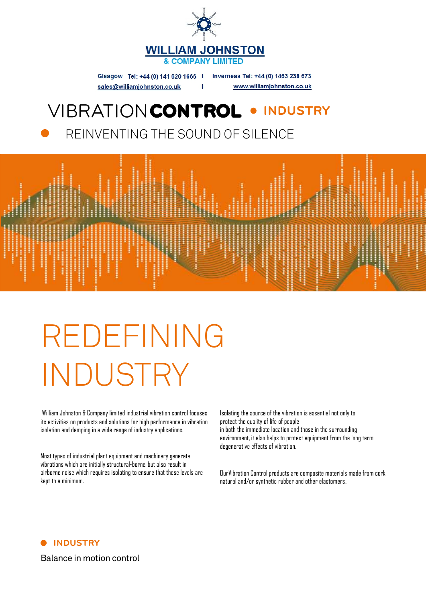

Glasgow Tel: +44 (0) 141 620 1666 | Inverness Tel: +44 (0) 1463 238 673 www.williamjohnston.co.uk sales@williamjohnston.co.uk

#### VIBRATIONCONTROL . **INDUSTRY**

REINVENTING THE SOUND OF SILENCE



# REDEFINING INDUSTRY

William Johnston & Company limited industrial vibration control focuses its activities on products and solutions for high performance in vibration isolation and damping in a wide range of industry applications.

Most types of industrial plant equipment and machinery generate vibrations which are initially structural-borne, but also result in airborne noise which requires isolating to ensure that these levels are kept to a minimum.

Isolating the source of the vibration is essential not only to protect the quality of life of people

in both the immediate location and those in the surrounding environment, it also helps to protect equipment from the long term degenerative effects of vibration.

OurVibration Control products are composite materials made from cork, natural and/or synthetic rubber and other elastomers.



Balance in motion control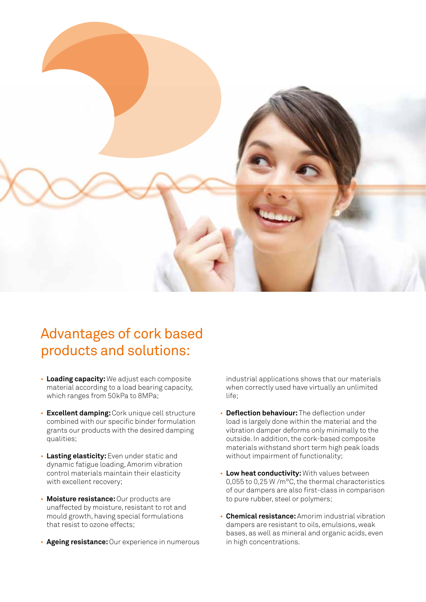

## Advantages of cork based products and solutions:

- **Loading capacity:** We adjust each composite material according to a load bearing capacity, which ranges from 50kPa to 8MPa;
- **Excellent damping:**Cork unique cell structure combined with our specific binder formulation grants our products with the desired damping qualities;
- **Lasting elasticity:**Even under static and dynamic fatigue loading, Amorim vibration control materials maintain their elasticity with excellent recovery;
- **Moisture resistance:**Our products are unaffected by moisture, resistant to rot and mould growth, having special formulations that resist to ozone effects;
- **Ageing resistance:**Our experience in numerous

industrial applications shows that our materials when correctly used have virtually an unlimited life;

- **Deflection behaviour:** The deflection under load is largely done within the material and the vibration damper deforms only minimally to the outside. In addition, the cork-based composite materials withstand short term high peak loads without impairment of functionality;
- **Low heat conductivity:** With values between 0,055 to 0,25 W /m°C, the thermal characteristics of our dampers are also first-class in comparison to pure rubber, steel or polymers;
- **Chemical resistance:**Amorim industrial vibration dampers are resistant to oils, emulsions, weak bases, as well as mineral and organic acids, even in high concentrations.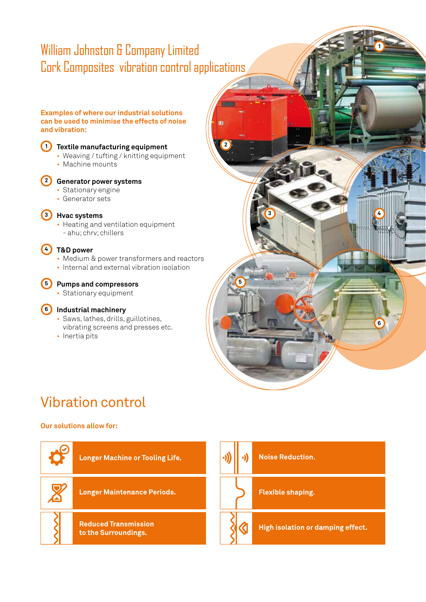## William Johnston & Company Limited Cork Composites vibration control applications

**1**

**6**

**3 4**

#### **Examples of where our industrial solutions can be used to minimise the effects of noise and vibration:**



#### **Textile manufacturing equipment 1**

- Weaving / tufting / knitting equipment
- Machine mounts



#### **Generator power systems 2**

- Stationary engine
- Generator sets

#### **Hvac systems 3**

• Heating and ventilation equipment - ahu; chrv; chillers

#### **T&D power 4**

- Medium & power transformers and reactors
- Internal and external vibration isolation

**Pumps and compressors 5** • Stationary equipment

#### **Industrial machinery 6**

- Saws, lathes, drills, guillotines, vibrating screens and presses etc.
- Inertia pits

## Vibration control

#### **Our solutions allow for:**



**2**

**5**